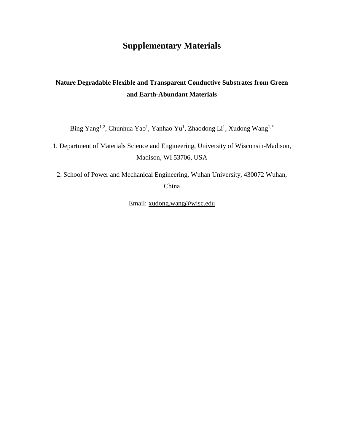## **Supplementary Materials**

## **Nature Degradable Flexible and Transparent Conductive Substrates from Green and Earth-Abundant Materials**

Bing Yang<sup>1,2</sup>, Chunhua Yao<sup>1</sup>, Yanhao Yu<sup>1</sup>, Zhaodong Li<sup>1</sup>, Xudong Wang<sup>1,\*</sup>

1. Department of Materials Science and Engineering, University of Wisconsin-Madison, Madison, WI 53706, USA

2. School of Power and Mechanical Engineering, Wuhan University, 430072 Wuhan, China

Email: [xudong.wang@wisc.edu](mailto:xudong.wang@wisc.edu)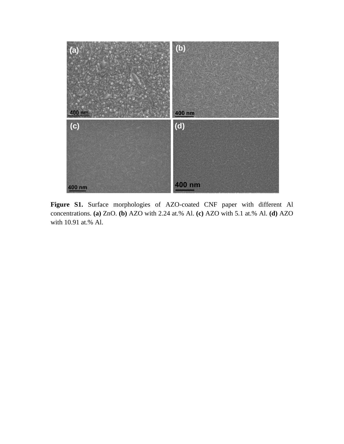

**Figure S1.** Surface morphologies of AZO-coated CNF paper with different Al concentrations. **(a)** ZnO. **(b)** AZO with 2.24 at.% Al. **(c)** AZO with 5.1 at.% Al. **(d)** AZO with 10.91 at.% Al.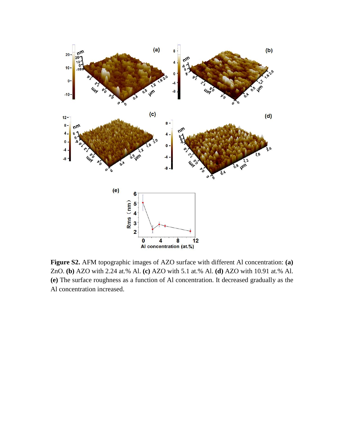

**Figure S2.** AFM topographic images of AZO surface with different Al concentration: **(a)** ZnO. **(b)** AZO with 2.24 at.% Al. **(c)** AZO with 5.1 at.% Al. **(d)** AZO with 10.91 at.% Al. **(e)** The surface roughness as a function of Al concentration. It decreased gradually as the Al concentration increased.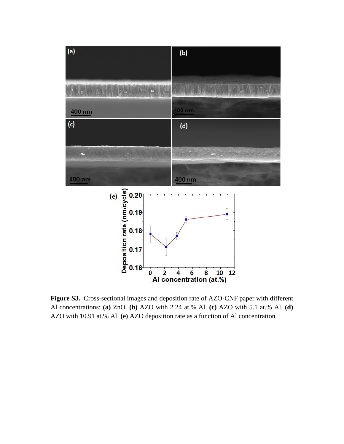

**Figure S3.** Cross-sectional images and deposition rate of AZO-CNF paper with different Al concentrations: **(a)** ZnO. **(b)** AZO with 2.24 at.% Al. **(c)** AZO with 5.1 at.% Al. **(d)** AZO with 10.91 at.% Al. **(e)** AZO deposition rate as a function of Al concentration.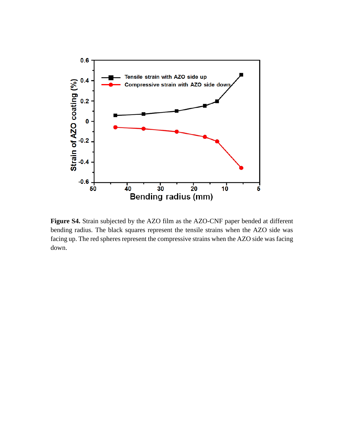

**Figure S4.** Strain subjected by the AZO film as the AZO-CNF paper bended at different bending radius. The black squares represent the tensile strains when the AZO side was facing up. The red spheres represent the compressive strains when the AZO side was facing down.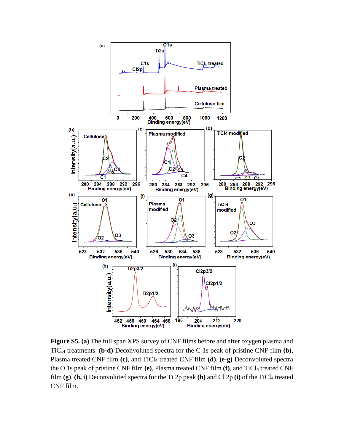

**Figure S5. (a)** The full span XPS survey of CNF films before and after oxygen plasma and TiCl<sup>4</sup> treatments. **(b-d)** Deconvoluted spectra for the C 1s peak of pristine CNF film **(b)**, Plasma treated CNF film (c), and TiCl<sub>4</sub> treated CNF film (d). (e-g) Deconvoluted spectra the O 1s peak of pristine CNF film **(e)**, Plasma treated CNF film **(f)**, and TiCl<sup>4</sup> treated CNF film **(g)**. **(h, i)** Deconvoluted spectra for the Ti 2p peak **(h)** and Cl 2p **(i)** of the TiCl<sup>4</sup> treated CNF film.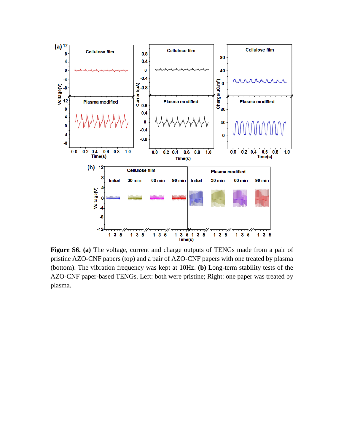

**Figure S6. (a)** The voltage, current and charge outputs of TENGs made from a pair of pristine AZO-CNF papers (top) and a pair of AZO-CNF papers with one treated by plasma (bottom). The vibration frequency was kept at 10Hz. **(b)** Long-term stability tests of the AZO-CNF paper-based TENGs. Left: both were pristine; Right: one paper was treated by plasma.